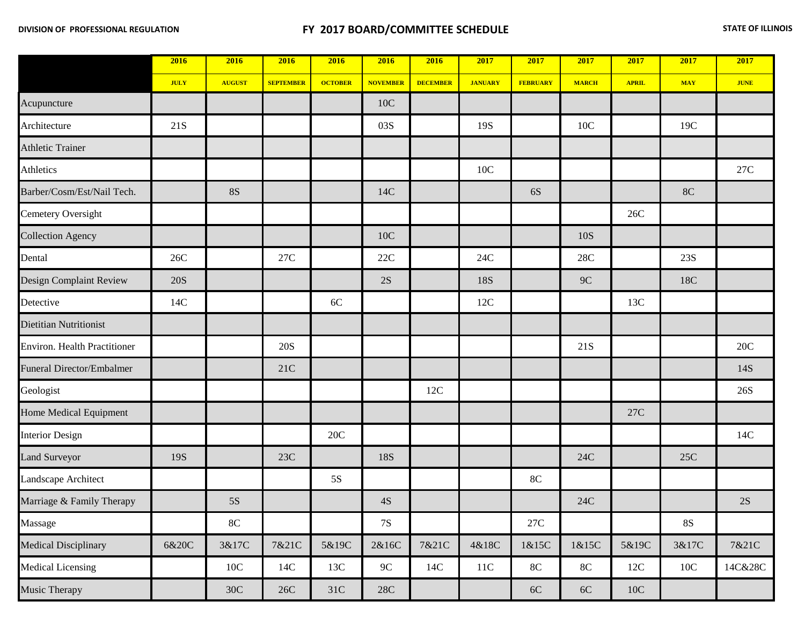|                                     | 2016        | 2016          | 2016             | 2016           | 2016            | 2016            | 2017           | 2017            | 2017          | 2017           | 2017          | 2017        |
|-------------------------------------|-------------|---------------|------------------|----------------|-----------------|-----------------|----------------|-----------------|---------------|----------------|---------------|-------------|
|                                     | <b>JULY</b> | <b>AUGUST</b> | <b>SEPTEMBER</b> | <b>OCTOBER</b> | <b>NOVEMBER</b> | <b>DECEMBER</b> | <b>JANUARY</b> | <b>FEBRUARY</b> | <b>MARCH</b>  | <b>APRIL</b>   | <b>MAY</b>    | <b>JUNE</b> |
| Acupuncture                         |             |               |                  |                | 10C             |                 |                |                 |               |                |               |             |
| Architecture                        | 21S         |               |                  |                | 03S             |                 | 19S            |                 | 10C           |                | 19C           |             |
| <b>Athletic Trainer</b>             |             |               |                  |                |                 |                 |                |                 |               |                |               |             |
| Athletics                           |             |               |                  |                |                 |                 | 10C            |                 |               |                |               | 27C         |
| Barber/Cosm/Est/Nail Tech.          |             | <b>8S</b>     |                  |                | 14C             |                 |                | 6S              |               |                | 8C            |             |
| Cemetery Oversight                  |             |               |                  |                |                 |                 |                |                 |               | 26C            |               |             |
| <b>Collection Agency</b>            |             |               |                  |                | 10C             |                 |                |                 | 10S           |                |               |             |
| Dental                              | 26C         |               | $27\mathrm{C}$   |                | $22\mathrm{C}$  |                 | 24C            |                 | 28C           |                | 23S           |             |
| Design Complaint Review             | <b>20S</b>  |               |                  |                | 2S              |                 | <b>18S</b>     |                 | 9C            |                | 18C           |             |
| Detective                           | 14C         |               |                  | 6C             |                 |                 | 12C            |                 |               | 13C            |               |             |
| Dietitian Nutritionist              |             |               |                  |                |                 |                 |                |                 |               |                |               |             |
| <b>Environ. Health Practitioner</b> |             |               | <b>20S</b>       |                |                 |                 |                |                 | 21S           |                |               | 20C         |
| Funeral Director/Embalmer           |             |               | 21C              |                |                 |                 |                |                 |               |                |               | 14S         |
| Geologist                           |             |               |                  |                |                 | 12C             |                |                 |               |                |               | 26S         |
| Home Medical Equipment              |             |               |                  |                |                 |                 |                |                 |               | 27C            |               |             |
| <b>Interior Design</b>              |             |               |                  | 20C            |                 |                 |                |                 |               |                |               | 14C         |
| Land Surveyor                       | 19S         |               | 23C              |                | <b>18S</b>      |                 |                |                 | 24C           |                | 25C           |             |
| Landscape Architect                 |             |               |                  | 5S             |                 |                 |                | <b>8C</b>       |               |                |               |             |
| Marriage & Family Therapy           |             | 5S            |                  |                | $4S$            |                 |                |                 | 24C           |                |               | 2S          |
| Massage                             |             | $8\mathrm{C}$ |                  |                | $7\mathrm{S}$   |                 |                | $27\mathrm{C}$  |               |                | $8\mathrm{S}$ |             |
| Medical Disciplinary                | 6&20C       | 3&17C         | 7&21C            | 5&19C          | 2&16C           | 7&21C           | 4&18C          | 1&15C           | 1&15C         | 5&19C          | 3&17C         | 7&21C       |
| Medical Licensing                   |             | $10C$         | 14C              | $13C$          | $9C$            | 14C             | $11C$          | $8\mathrm{C}$   | $8\mathrm{C}$ | 12C            | $10C$         | 14C&28C     |
| Music Therapy                       |             | 30C           | $26\mathrm{C}$   | 31C            | $28\mathrm{C}$  |                 |                | $6C$            | $6C$          | $10\mathrm{C}$ |               |             |